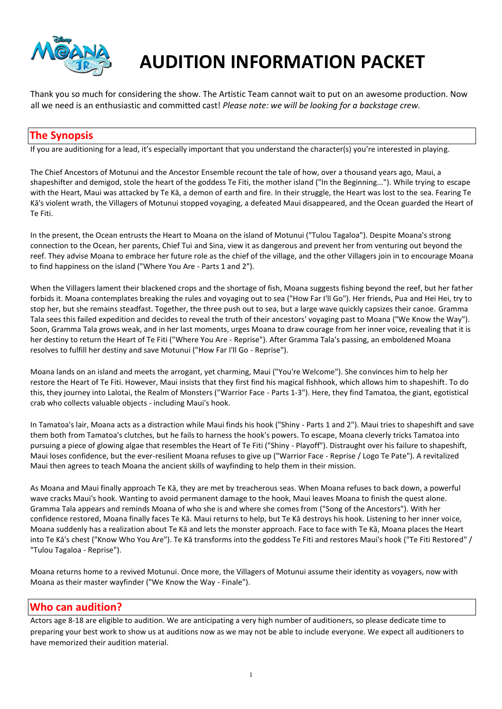

# **AUDITION INFORMATION PACKET**

Thank you so much for considering the show. The Artistic Team cannot wait to put on an awesome production. Now all we need is an enthusiastic and committed cast! *Please note: we will be looking for a backstage crew.* 

## **The Synopsis**

If you are auditioning for a lead, it's especially important that you understand the character(s) you're interested in playing.

The Chief Ancestors of Motunui and the Ancestor Ensemble recount the tale of how, over a thousand years ago, Maui, a shapeshifter and demigod, stole the heart of the goddess Te Fiti, the mother island ("In the Beginning..."). While trying to escape with the Heart, Maui was attacked by Te Kā, a demon of earth and fire. In their struggle, the Heart was lost to the sea. Fearing Te Kā's violent wrath, the Villagers of Motunui stopped voyaging, a defeated Maui disappeared, and the Ocean guarded the Heart of Te Fiti.

In the present, the Ocean entrusts the Heart to Moana on the island of Motunui ("Tulou Tagaloa"). Despite Moana's strong connection to the Ocean, her parents, Chief Tui and Sina, view it as dangerous and prevent her from venturing out beyond the reef. They advise Moana to embrace her future role as the chief of the village, and the other Villagers join in to encourage Moana to find happiness on the island ("Where You Are - Parts 1 and 2").

When the Villagers lament their blackened crops and the shortage of fish, Moana suggests fishing beyond the reef, but her father forbids it. Moana contemplates breaking the rules and voyaging out to sea ("How Far I'll Go"). Her friends, Pua and Hei Hei, try to stop her, but she remains steadfast. Together, the three push out to sea, but a large wave quickly capsizes their canoe. Gramma Tala sees this failed expedition and decides to reveal the truth of their ancestors' voyaging past to Moana ("We Know the Way"). Soon, Gramma Tala grows weak, and in her last moments, urges Moana to draw courage from her inner voice, revealing that it is her destiny to return the Heart of Te Fiti ("Where You Are - Reprise"). After Gramma Tala's passing, an emboldened Moana resolves to fulfill her destiny and save Motunui ("How Far I'll Go - Reprise").

Moana lands on an island and meets the arrogant, yet charming, Maui ("You're Welcome"). She convinces him to help her restore the Heart of Te Fiti. However, Maui insists that they first find his magical fishhook, which allows him to shapeshift. To do this, they journey into Lalotai, the Realm of Monsters ("Warrior Face - Parts 1-3"). Here, they find Tamatoa, the giant, egotistical crab who collects valuable objects - including Maui's hook.

In Tamatoa's lair, Moana acts as a distraction while Maui finds his hook ("Shiny - Parts 1 and 2"). Maui tries to shapeshift and save them both from Tamatoa's clutches, but he fails to harness the hook's powers. To escape, Moana cleverly tricks Tamatoa into pursuing a piece of glowing algae that resembles the Heart of Te Fiti ("Shiny - Playoff"). Distraught over his failure to shapeshift, Maui loses confidence, but the ever-resilient Moana refuses to give up ("Warrior Face - Reprise / Logo Te Pate"). A revitalized Maui then agrees to teach Moana the ancient skills of wayfinding to help them in their mission.

As Moana and Maui finally approach Te Kā, they are met by treacherous seas. When Moana refuses to back down, a powerful wave cracks Maui's hook. Wanting to avoid permanent damage to the hook, Maui leaves Moana to finish the quest alone. Gramma Tala appears and reminds Moana of who she is and where she comes from ("Song of the Ancestors"). With her confidence restored, Moana finally faces Te Kā. Maui returns to help, but Te Kā destroys his hook. Listening to her inner voice, Moana suddenly has a realization about Te Kā and lets the monster approach. Face to face with Te Kā, Moana places the Heart into Te Kā's chest ("Know Who You Are"). Te Kā transforms into the goddess Te Fiti and restores Maui's hook ("Te Fiti Restored" / "Tulou Tagaloa - Reprise").

Moana returns home to a revived Motunui. Once more, the Villagers of Motunui assume their identity as voyagers, now with Moana as their master wayfinder ("We Know the Way - Finale").

## **Who can audition?**

Actors age 8-18 are eligible to audition. We are anticipating a very high number of auditioners, so please dedicate time to preparing your best work to show us at auditions now as we may not be able to include everyone. We expect all auditioners to have memorized their audition material.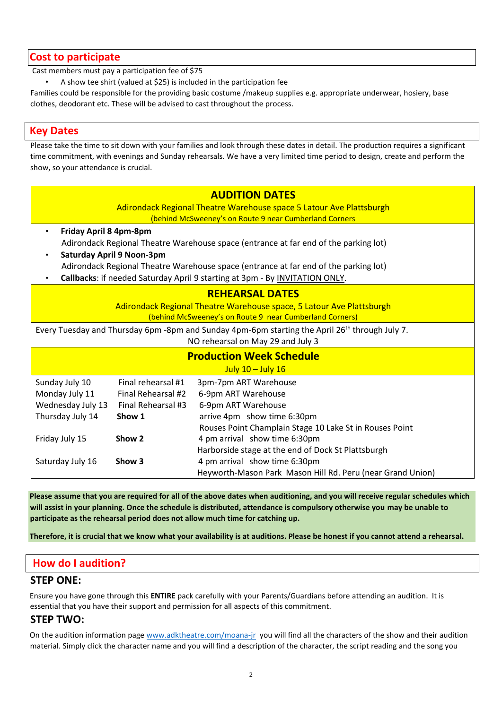## **Cost to participate**

Cast members must pay a participation fee of \$75

• A show tee shirt (valued at \$25) is included in the participation fee

Families could be responsible for the providing basic costume /makeup supplies e.g. appropriate underwear, hosiery, base clothes, deodorant etc. These will be advised to cast throughout the process.

## **Key Dates**

Please take the time to sit down with your families and look through these dates in detail. The production requires a significant time commitment, with evenings and Sunday rehearsals. We have a very limited time period to design, create and perform the show, so your attendance is crucial.

| <b>AUDITION DATES</b>                                                                                      |                    |                                                            |
|------------------------------------------------------------------------------------------------------------|--------------------|------------------------------------------------------------|
| Adirondack Regional Theatre Warehouse space 5 Latour Ave Plattsburgh                                       |                    |                                                            |
| (behind McSweeney's on Route 9 near Cumberland Corners                                                     |                    |                                                            |
| Friday April 8 4pm-8pm<br>$\bullet$                                                                        |                    |                                                            |
| Adirondack Regional Theatre Warehouse space (entrance at far end of the parking lot)                       |                    |                                                            |
| <b>Saturday April 9 Noon-3pm</b>                                                                           |                    |                                                            |
| Adirondack Regional Theatre Warehouse space (entrance at far end of the parking lot)                       |                    |                                                            |
| Callbacks: if needed Saturday April 9 starting at 3pm - By INVITATION ONLY.                                |                    |                                                            |
| <b>REHEARSAL DATES</b>                                                                                     |                    |                                                            |
| Adirondack Regional Theatre Warehouse space, 5 Latour Ave Plattsburgh                                      |                    |                                                            |
| (behind McSweeney's on Route 9 near Cumberland Corners)                                                    |                    |                                                            |
|                                                                                                            |                    |                                                            |
| Every Tuesday and Thursday 6pm -8pm and Sunday 4pm-6pm starting the April 26 <sup>th</sup> through July 7. |                    |                                                            |
| NO rehearsal on May 29 and July 3                                                                          |                    |                                                            |
| <b>Production Week Schedule</b>                                                                            |                    |                                                            |
| July $10 -$ July $16$                                                                                      |                    |                                                            |
| Sunday July 10                                                                                             | Final rehearsal #1 | 3pm-7pm ART Warehouse                                      |
| Monday July 11                                                                                             | Final Rehearsal #2 | 6-9pm ART Warehouse                                        |
| Wednesday July 13                                                                                          | Final Rehearsal #3 | 6-9pm ART Warehouse                                        |
| Thursday July 14                                                                                           | Show 1             | arrive 4pm show time 6:30pm                                |
|                                                                                                            |                    | Rouses Point Champlain Stage 10 Lake St in Rouses Point    |
| Friday July 15                                                                                             | Show 2             | 4 pm arrival show time 6:30pm                              |
|                                                                                                            |                    | Harborside stage at the end of Dock St Plattsburgh         |
| Saturday July 16                                                                                           | Show 3             | 4 pm arrival show time 6:30pm                              |
|                                                                                                            |                    | Heyworth-Mason Park Mason Hill Rd. Peru (near Grand Union) |
|                                                                                                            |                    |                                                            |

**Please assume that you are required for all of the above dates when auditioning, and you will receive regular schedules which will assist in your planning. Once the schedule is distributed, attendance is compulsory otherwise you may be unable to participate as the rehearsal period does not allow much time for catching up.** 

**Therefore, it is crucial that we know what your availability is at auditions. Please be honest if you cannot attend a rehearsal.** 

## **How do I audition?**

## **STEP ONE:**

Ensure you have gone through this **ENTIRE** pack carefully with your Parents/Guardians before attending an audition. It is essential that you have their support and permission for all aspects of this commitment.

## **STEP TWO:**

On the audition information page [www.adktheatre.com/moana-jr](http://www.adktheatre.com/moana-jr) you will find all the characters of the show and their audition material. Simply click the character name and you will find a description of the character, the script reading and the song you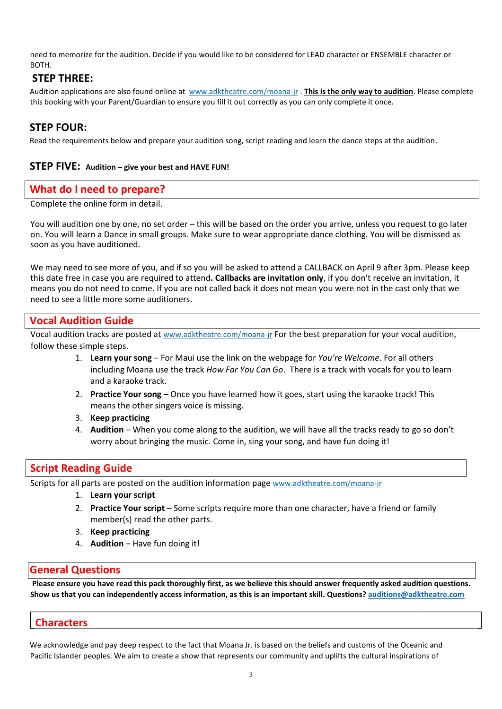need to memorize for the audition. Decide if you would like to be considered for LEAD character or ENSEMBLE character or BOTH.

## **STEP THREE:**

Audition applications are also found online at [www.adktheatre.com/moana-jr](http://www.adktheatre.com/moana-jr) . **This is the only way to audition**. Please complete this booking with your Parent/Guardian to ensure you fill it out correctly as you can only complete it once.

## **STEP FOUR:**

Read the requirements below and prepare your audition song, script reading and learn the dance steps at the audition.

## **STEP FIVE: Audition – give your best and HAVE FUN!**

## **What do I need to prepare?**

Complete the online form in detail.

You will audition one by one, no set order – this will be based on the order you arrive, unless you request to go later on. You will learn a Dance in small groups. Make sure to wear appropriate dance clothing. You will be dismissed as soon as you have auditioned.

We may need to see more of you, and if so you will be asked to attend a CALLBACK on April 9 after 3pm. Please keep this date free in case you are required to attend**. Callbacks are invitation only**, if you don't receive an invitation, it means you do not need to come. If you are not called back it does not mean you were not in the cast only that we need to see a little more some auditioners.

## **Vocal Audition Guide**

Vocal audition tracks are posted at [www.adktheatre.com/moana-jr](http://www.adktheatre.com/moana-jr) For the best preparation for your vocal audition, follow these simple steps.

- 1. **Learn your song** For Maui use the link on the webpage for *You're Welcome*. For all others including Moana use the track *How Far You Can Go*. There is a track with vocals for you to learn and a karaoke track.
- 2. **Practice Your song –** Once you have learned how it goes, start using the karaoke track! This means the other singers voice is missing.
- 3. **Keep practicing**
- 4. **Audition** When you come along to the audition, we will have all the tracks ready to go so don't worry about bringing the music. Come in, sing your song, and have fun doing it!

# **Script Reading Guide**

Scripts for all parts are posted on the audition information page [www.adktheatre.com/moana-jr](http://www.adktheatre.com/moana-audition)

- 1. **Learn your script**
- 2. **Practice Your script**  Some scripts require more than one character, have a friend or family member(s) read the other parts.
- 3. **Keep practicing**
- 4. **Audition** Have fun doing it!

## **General Questions**

**Please ensure you have read this pack thoroughly first, as we believe this should answer frequently asked audition questions. Show us that you can independently access information, as this is an important skill. Questions?<auditions@adktheatre.com>**

# **Characters**

We acknowledge and pay deep respect to the fact that Moana Jr. is based on the beliefs and customs of the Oceanic and Pacific Islander peoples. We aim to create a show that represents our community and uplifts the cultural inspirations of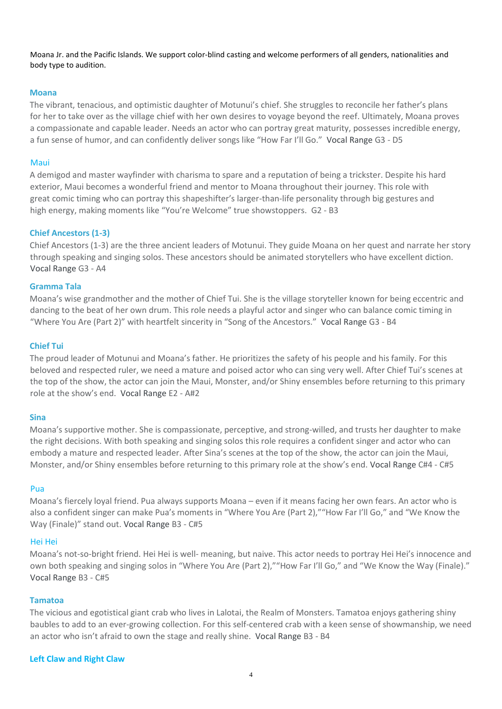Moana Jr. and the Pacific Islands. We support color-blind casting and welcome performers of all genders, nationalities and body type to audition.

#### **Moana**

The vibrant, tenacious, and optimistic daughter of Motunui's chief. She struggles to reconcile her father's plans for her to take over as the village chief with her own desires to voyage beyond the reef. Ultimately, Moana proves a compassionate and capable leader. Needs an actor who can portray great maturity, possesses incredible energy, a fun sense of humor, and can confidently deliver songs like "How Far I'll Go." Vocal Range G3 - D5

#### Maui

A demigod and master wayfinder with charisma to spare and a reputation of being a trickster. Despite his hard exterior, Maui becomes a wonderful friend and mentor to Moana throughout their journey. This role with great comic timing who can portray this shapeshifter's larger-than-life personality through big gestures and high energy, making moments like "You're Welcome" true showstoppers. G2 - B3

#### **Chief Ancestors (1-3)**

Chief Ancestors (1-3) are the three ancient leaders of Motunui. They guide Moana on her quest and narrate her story through speaking and singing solos. These ancestors should be animated storytellers who have excellent diction. Vocal Range G3 - A4

#### **Gramma Tala**

Moana's wise grandmother and the mother of Chief Tui. She is the village storyteller known for being eccentric and dancing to the beat of her own drum. This role needs a playful actor and singer who can balance comic timing in "Where You Are (Part 2)" with heartfelt sincerity in "Song of the Ancestors." Vocal Range G3 - B4

#### **Chief Tui**

The proud leader of Motunui and Moana's father. He prioritizes the safety of his people and his family. For this beloved and respected ruler, we need a mature and poised actor who can sing very well. After Chief Tui's scenes at the top of the show, the actor can join the Maui, Monster, and/or Shiny ensembles before returning to this primary role at the show's end. Vocal Range E2 - A#2

#### **Sina**

Moana's supportive mother. She is compassionate, perceptive, and strong-willed, and trusts her daughter to make the right decisions. With both speaking and singing solos this role requires a confident singer and actor who can embody a mature and respected leader. After Sina's scenes at the top of the show, the actor can join the Maui, Monster, and/or Shiny ensembles before returning to this primary role at the show's end. Vocal Range C#4 - C#5

#### Pua

Moana's fiercely loyal friend. Pua always supports Moana – even if it means facing her own fears. An actor who is also a confident singer can make Pua's moments in "Where You Are (Part 2),""How Far I'll Go," and "We Know the Way (Finale)" stand out. Vocal Range B3 - C#5

#### Hei Hei

Moana's not-so-bright friend. Hei Hei is well- meaning, but naive. This actor needs to portray Hei Hei's innocence and own both speaking and singing solos in "Where You Are (Part 2),""How Far I'll Go," and "We Know the Way (Finale)." Vocal Range B3 - C#5

#### **Tamatoa**

The vicious and egotistical giant crab who lives in Lalotai, the Realm of Monsters. Tamatoa enjoys gathering shiny baubles to add to an ever-growing collection. For this self-centered crab with a keen sense of showmanship, we need an actor who isn't afraid to own the stage and really shine. Vocal Range B3 - B4

#### **Left Claw and Right Claw**